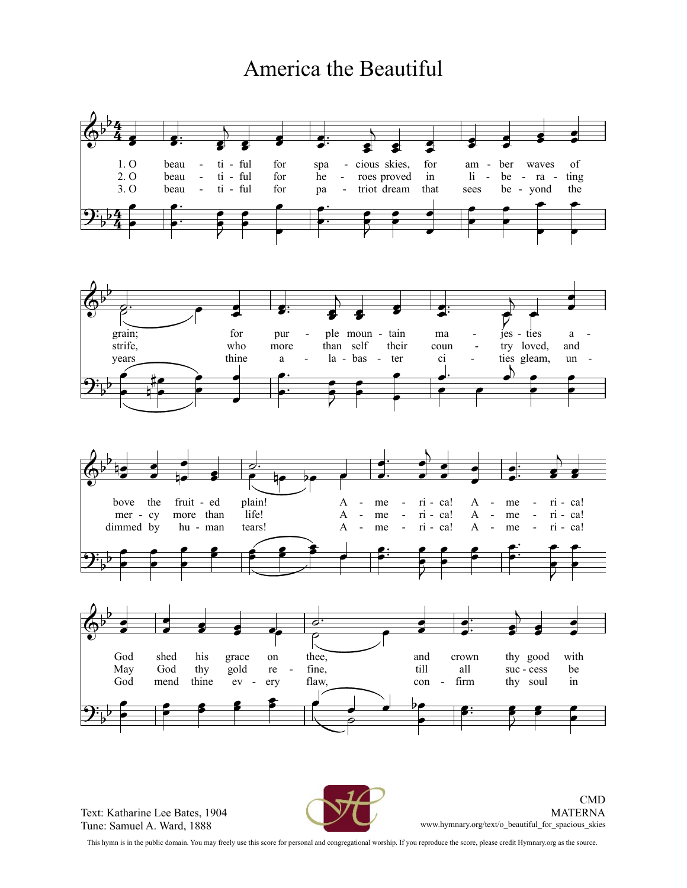## America the Beautiful



Text: Katharine Lee Bates, 1904 Tune: Samuel A. Ward, 1888



 $CMD$ **MATERNA**  ${\tt www.hymnary.org/text/o\_beautiful\_for\_spacious\_skies}$ 

This hymn is in the public domain. You may freely use this score for personal and congregational worship. If you reproduce the score, please credit Hymnary.org as the source.